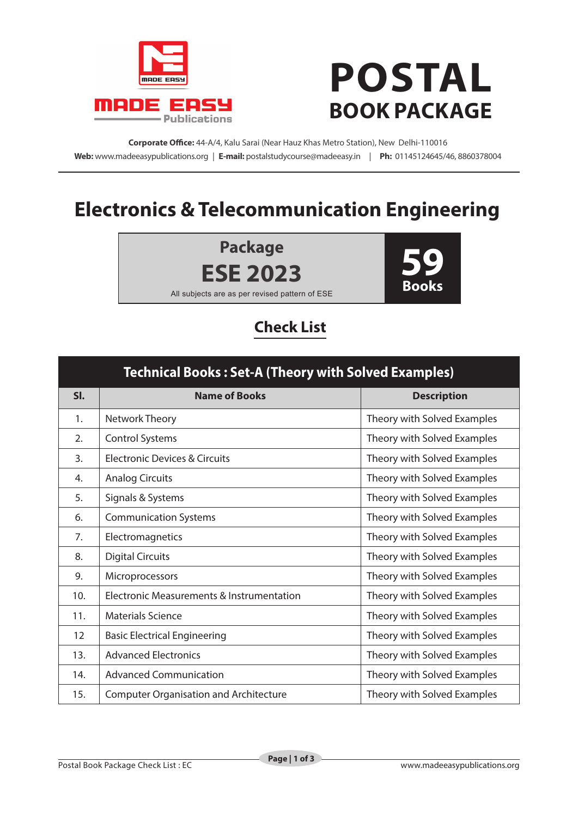

## **POSTAL BOOK PACKAGE**

**Corporate Office:** 44-A/4, Kalu Sarai (Near Hauz Khas Metro Station), New Delhi-110016 **Web:** www.madeeasypublications.org | **E-mail:** postalstudycourse@madeeasy.in | **Ph:** 01145124645/46, 8860378004

## **Electronics & Telecommunication Engineering**

**Package ESE 2023**



All subjects are as per revised pattern of ESE

## **Check List**

| <b>Technical Books: Set-A (Theory with Solved Examples)</b> |                                               |                             |  |
|-------------------------------------------------------------|-----------------------------------------------|-----------------------------|--|
| SI.                                                         | <b>Name of Books</b>                          | <b>Description</b>          |  |
| 1.                                                          | Network Theory                                | Theory with Solved Examples |  |
| 2.                                                          | <b>Control Systems</b>                        | Theory with Solved Examples |  |
| 3.                                                          | <b>Electronic Devices &amp; Circuits</b>      | Theory with Solved Examples |  |
| 4.                                                          | <b>Analog Circuits</b>                        | Theory with Solved Examples |  |
| 5.                                                          | Signals & Systems                             | Theory with Solved Examples |  |
| 6.                                                          | <b>Communication Systems</b>                  | Theory with Solved Examples |  |
| 7.                                                          | Electromagnetics                              | Theory with Solved Examples |  |
| 8.                                                          | <b>Digital Circuits</b>                       | Theory with Solved Examples |  |
| 9.                                                          | Microprocessors                               | Theory with Solved Examples |  |
| 10.                                                         | Electronic Measurements & Instrumentation     | Theory with Solved Examples |  |
| 11.                                                         | <b>Materials Science</b>                      | Theory with Solved Examples |  |
| 12                                                          | <b>Basic Electrical Engineering</b>           | Theory with Solved Examples |  |
| 13.                                                         | <b>Advanced Electronics</b>                   | Theory with Solved Examples |  |
| 14.                                                         | <b>Advanced Communication</b>                 | Theory with Solved Examples |  |
| 15.                                                         | <b>Computer Organisation and Architecture</b> | Theory with Solved Examples |  |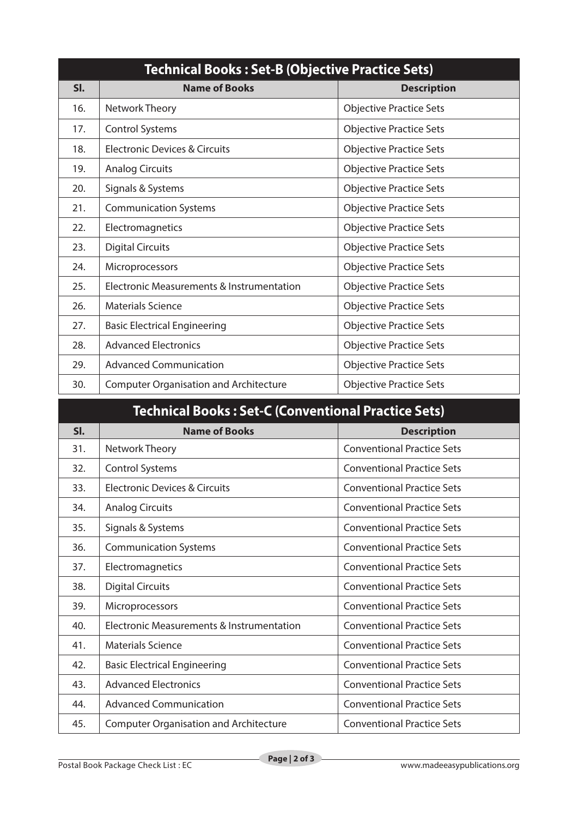| <b>Technical Books: Set-B (Objective Practice Sets)</b> |                                               |                                |  |
|---------------------------------------------------------|-----------------------------------------------|--------------------------------|--|
| SI.                                                     | <b>Name of Books</b>                          | <b>Description</b>             |  |
| 16.                                                     | Network Theory                                | <b>Objective Practice Sets</b> |  |
| 17.                                                     | <b>Control Systems</b>                        | <b>Objective Practice Sets</b> |  |
| 18.                                                     | <b>Electronic Devices &amp; Circuits</b>      | <b>Objective Practice Sets</b> |  |
| 19.                                                     | <b>Analog Circuits</b>                        | <b>Objective Practice Sets</b> |  |
| 20.                                                     | Signals & Systems                             | <b>Objective Practice Sets</b> |  |
| 21.                                                     | <b>Communication Systems</b>                  | <b>Objective Practice Sets</b> |  |
| 22.                                                     | Electromagnetics                              | <b>Objective Practice Sets</b> |  |
| 23.                                                     | <b>Digital Circuits</b>                       | <b>Objective Practice Sets</b> |  |
| 24.                                                     | Microprocessors                               | <b>Objective Practice Sets</b> |  |
| 25.                                                     | Electronic Measurements & Instrumentation     | <b>Objective Practice Sets</b> |  |
| 26.                                                     | <b>Materials Science</b>                      | <b>Objective Practice Sets</b> |  |
| 27.                                                     | <b>Basic Electrical Engineering</b>           | <b>Objective Practice Sets</b> |  |
| 28.                                                     | <b>Advanced Electronics</b>                   | <b>Objective Practice Sets</b> |  |
| 29.                                                     | <b>Advanced Communication</b>                 | <b>Objective Practice Sets</b> |  |
| 30.                                                     | <b>Computer Organisation and Architecture</b> | <b>Objective Practice Sets</b> |  |

| <b>Technical Books: Set-C (Conventional Practice Sets)</b> |                                               |                                   |
|------------------------------------------------------------|-----------------------------------------------|-----------------------------------|
| SI.                                                        | <b>Name of Books</b>                          | <b>Description</b>                |
| 31.                                                        | Network Theory                                | <b>Conventional Practice Sets</b> |
| 32.                                                        | <b>Control Systems</b>                        | <b>Conventional Practice Sets</b> |
| 33.                                                        | Electronic Devices & Circuits                 | <b>Conventional Practice Sets</b> |
| 34.                                                        | <b>Analog Circuits</b>                        | <b>Conventional Practice Sets</b> |
| 35.                                                        | Signals & Systems                             | <b>Conventional Practice Sets</b> |
| 36.                                                        | <b>Communication Systems</b>                  | <b>Conventional Practice Sets</b> |
| 37.                                                        | Electromagnetics                              | <b>Conventional Practice Sets</b> |
| 38.                                                        | <b>Digital Circuits</b>                       | <b>Conventional Practice Sets</b> |
| 39.                                                        | Microprocessors                               | <b>Conventional Practice Sets</b> |
| 40.                                                        | Electronic Measurements & Instrumentation     | <b>Conventional Practice Sets</b> |
| 41.                                                        | Materials Science                             | <b>Conventional Practice Sets</b> |
| 42.                                                        | <b>Basic Electrical Engineering</b>           | <b>Conventional Practice Sets</b> |
| 43.                                                        | <b>Advanced Electronics</b>                   | <b>Conventional Practice Sets</b> |
| 44.                                                        | <b>Advanced Communication</b>                 | <b>Conventional Practice Sets</b> |
| 45.                                                        | <b>Computer Organisation and Architecture</b> | <b>Conventional Practice Sets</b> |